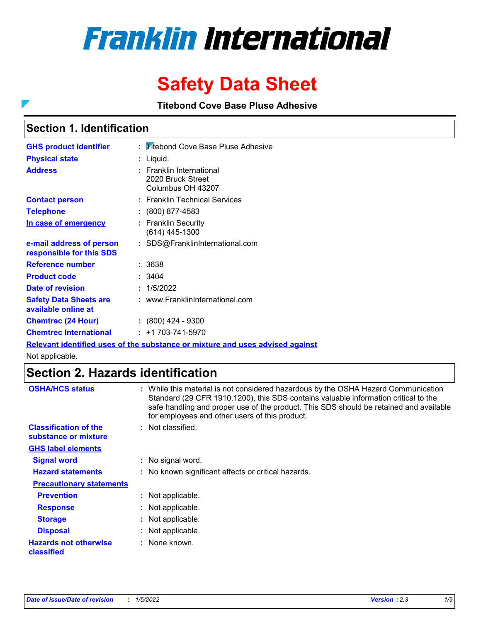# **Franklin International**

# **Safety Data Sheet**

**Titebond Cove Base Pluse Adhesive**

## **Section 1. Identification**

 $\overline{\phantom{0}}$ 

| <b>GHS product identifier</b>                        | : Titebond Cove Base Pluse Adhesive                                     |
|------------------------------------------------------|-------------------------------------------------------------------------|
| <b>Physical state</b>                                | Liquid.                                                                 |
| <b>Address</b>                                       | <b>Franklin International</b><br>2020 Bruck Street<br>Columbus OH 43207 |
| <b>Contact person</b>                                | : Franklin Technical Services                                           |
| <b>Telephone</b>                                     | $\colon$ (800) 877-4583                                                 |
| In case of emergency                                 | <b>Franklin Security</b><br>(614) 445-1300                              |
| e-mail address of person<br>responsible for this SDS | : SDS@FranklinInternational.com                                         |
| Reference number                                     | : 3638                                                                  |
| <b>Product code</b>                                  | : 3404                                                                  |
| Date of revision                                     | 1/5/2022                                                                |
| <b>Safety Data Sheets are</b><br>available online at | : www.FranklinInternational.com                                         |
| <b>Chemtrec (24 Hour)</b>                            | $: (800)$ 424 - 9300                                                    |
| <b>Chemtrec International</b>                        | $: +1703 - 741 - 5970$                                                  |

**Relevant identified uses of the substance or mixture and uses advised against**

Not applicable.

# **Section 2. Hazards identification**

| <b>OSHA/HCS status</b>                               | : While this material is not considered hazardous by the OSHA Hazard Communication<br>Standard (29 CFR 1910.1200), this SDS contains valuable information critical to the<br>safe handling and proper use of the product. This SDS should be retained and available<br>for employees and other users of this product. |
|------------------------------------------------------|-----------------------------------------------------------------------------------------------------------------------------------------------------------------------------------------------------------------------------------------------------------------------------------------------------------------------|
| <b>Classification of the</b><br>substance or mixture | Not classified.                                                                                                                                                                                                                                                                                                       |
| <b>GHS label elements</b>                            |                                                                                                                                                                                                                                                                                                                       |
| <b>Signal word</b>                                   | : No signal word.                                                                                                                                                                                                                                                                                                     |
| <b>Hazard statements</b>                             | : No known significant effects or critical hazards.                                                                                                                                                                                                                                                                   |
| <b>Precautionary statements</b>                      |                                                                                                                                                                                                                                                                                                                       |
| <b>Prevention</b>                                    | : Not applicable.                                                                                                                                                                                                                                                                                                     |
| <b>Response</b>                                      | : Not applicable.                                                                                                                                                                                                                                                                                                     |
| <b>Storage</b>                                       | : Not applicable.                                                                                                                                                                                                                                                                                                     |
| <b>Disposal</b>                                      | : Not applicable.                                                                                                                                                                                                                                                                                                     |
| <b>Hazards not otherwise</b><br>classified           | : None known.                                                                                                                                                                                                                                                                                                         |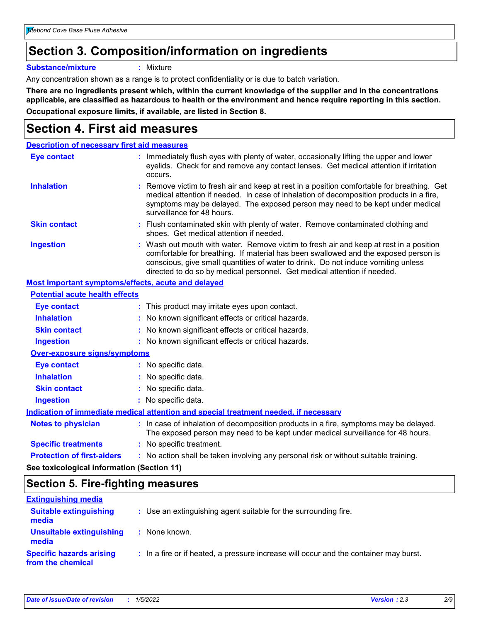# **Section 3. Composition/information on ingredients**

**Substance/mixture :** Mixture

Any concentration shown as a range is to protect confidentiality or is due to batch variation.

**There are no ingredients present which, within the current knowledge of the supplier and in the concentrations applicable, are classified as hazardous to health or the environment and hence require reporting in this section. Occupational exposure limits, if available, are listed in Section 8.**

# **Section 4. First aid measures**

| <b>Description of necessary first aid measures</b> |                                                                                                                                                                                                                                                                                                                                                |  |  |
|----------------------------------------------------|------------------------------------------------------------------------------------------------------------------------------------------------------------------------------------------------------------------------------------------------------------------------------------------------------------------------------------------------|--|--|
| <b>Eye contact</b>                                 | : Immediately flush eyes with plenty of water, occasionally lifting the upper and lower<br>eyelids. Check for and remove any contact lenses. Get medical attention if irritation<br>occurs.                                                                                                                                                    |  |  |
| <b>Inhalation</b>                                  | : Remove victim to fresh air and keep at rest in a position comfortable for breathing. Get<br>medical attention if needed. In case of inhalation of decomposition products in a fire,<br>symptoms may be delayed. The exposed person may need to be kept under medical<br>surveillance for 48 hours.                                           |  |  |
| <b>Skin contact</b>                                | : Flush contaminated skin with plenty of water. Remove contaminated clothing and<br>shoes. Get medical attention if needed.                                                                                                                                                                                                                    |  |  |
| <b>Ingestion</b>                                   | : Wash out mouth with water. Remove victim to fresh air and keep at rest in a position<br>comfortable for breathing. If material has been swallowed and the exposed person is<br>conscious, give small quantities of water to drink. Do not induce vomiting unless<br>directed to do so by medical personnel. Get medical attention if needed. |  |  |

#### **Most important symptoms/effects, acute and delayed**

| <b>Potential acute health effects</b>      |                                                                                                                                                                          |
|--------------------------------------------|--------------------------------------------------------------------------------------------------------------------------------------------------------------------------|
| Eye contact                                | : This product may irritate eyes upon contact.                                                                                                                           |
| <b>Inhalation</b>                          | : No known significant effects or critical hazards.                                                                                                                      |
| <b>Skin contact</b>                        | : No known significant effects or critical hazards.                                                                                                                      |
| <b>Ingestion</b>                           | : No known significant effects or critical hazards.                                                                                                                      |
| Over-exposure signs/symptoms               |                                                                                                                                                                          |
| Eye contact                                | : No specific data.                                                                                                                                                      |
| <b>Inhalation</b>                          | : No specific data.                                                                                                                                                      |
| <b>Skin contact</b>                        | : No specific data.                                                                                                                                                      |
| <b>Ingestion</b>                           | : No specific data.                                                                                                                                                      |
|                                            | Indication of immediate medical attention and special treatment needed, if necessary                                                                                     |
| <b>Notes to physician</b>                  | : In case of inhalation of decomposition products in a fire, symptoms may be delayed.<br>The exposed person may need to be kept under medical surveillance for 48 hours. |
| <b>Specific treatments</b>                 | : No specific treatment.                                                                                                                                                 |
| <b>Protection of first-aiders</b>          | : No action shall be taken involving any personal risk or without suitable training.                                                                                     |
| See toxicological information (Section 11) |                                                                                                                                                                          |

# **Section 5. Fire-fighting measures**

| <b>Extinguishing media</b>                           |                                                                                       |
|------------------------------------------------------|---------------------------------------------------------------------------------------|
| <b>Suitable extinguishing</b><br>media               | : Use an extinguishing agent suitable for the surrounding fire.                       |
| <b>Unsuitable extinguishing</b><br>media             | : None known.                                                                         |
| <b>Specific hazards arising</b><br>from the chemical | : In a fire or if heated, a pressure increase will occur and the container may burst. |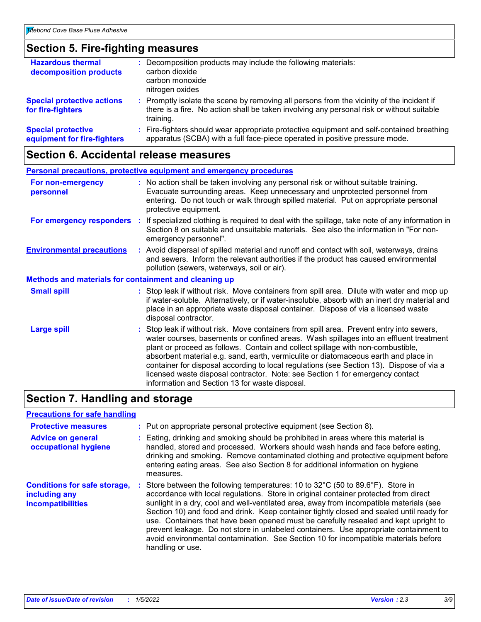# **Section 5. Fire-fighting measures**

| <b>Hazardous thermal</b><br>decomposition products       | Decomposition products may include the following materials:<br>carbon dioxide<br>carbon monoxide<br>nitrogen oxides                                                                                 |  |
|----------------------------------------------------------|-----------------------------------------------------------------------------------------------------------------------------------------------------------------------------------------------------|--|
| <b>Special protective actions</b><br>for fire-fighters   | : Promptly isolate the scene by removing all persons from the vicinity of the incident if<br>there is a fire. No action shall be taken involving any personal risk or without suitable<br>training. |  |
| <b>Special protective</b><br>equipment for fire-fighters | : Fire-fighters should wear appropriate protective equipment and self-contained breathing<br>apparatus (SCBA) with a full face-piece operated in positive pressure mode.                            |  |

# **Section 6. Accidental release measures**

| <b>Personal precautions, protective equipment and emergency procedures</b> |  |                                                                                                                                                                                                                                                                                                                                                                                                                                                                                                                                                                                            |  |
|----------------------------------------------------------------------------|--|--------------------------------------------------------------------------------------------------------------------------------------------------------------------------------------------------------------------------------------------------------------------------------------------------------------------------------------------------------------------------------------------------------------------------------------------------------------------------------------------------------------------------------------------------------------------------------------------|--|
| For non-emergency<br>personnel                                             |  | : No action shall be taken involving any personal risk or without suitable training.<br>Evacuate surrounding areas. Keep unnecessary and unprotected personnel from<br>entering. Do not touch or walk through spilled material. Put on appropriate personal<br>protective equipment.                                                                                                                                                                                                                                                                                                       |  |
|                                                                            |  | For emergency responders : If specialized clothing is required to deal with the spillage, take note of any information in<br>Section 8 on suitable and unsuitable materials. See also the information in "For non-<br>emergency personnel".                                                                                                                                                                                                                                                                                                                                                |  |
| <b>Environmental precautions</b>                                           |  | : Avoid dispersal of spilled material and runoff and contact with soil, waterways, drains<br>and sewers. Inform the relevant authorities if the product has caused environmental<br>pollution (sewers, waterways, soil or air).                                                                                                                                                                                                                                                                                                                                                            |  |
| <b>Methods and materials for containment and cleaning up</b>               |  |                                                                                                                                                                                                                                                                                                                                                                                                                                                                                                                                                                                            |  |
| <b>Small spill</b>                                                         |  | : Stop leak if without risk. Move containers from spill area. Dilute with water and mop up<br>if water-soluble. Alternatively, or if water-insoluble, absorb with an inert dry material and<br>place in an appropriate waste disposal container. Dispose of via a licensed waste<br>disposal contractor.                                                                                                                                                                                                                                                                                   |  |
| <b>Large spill</b>                                                         |  | : Stop leak if without risk. Move containers from spill area. Prevent entry into sewers,<br>water courses, basements or confined areas. Wash spillages into an effluent treatment<br>plant or proceed as follows. Contain and collect spillage with non-combustible,<br>absorbent material e.g. sand, earth, vermiculite or diatomaceous earth and place in<br>container for disposal according to local regulations (see Section 13). Dispose of via a<br>licensed waste disposal contractor. Note: see Section 1 for emergency contact<br>information and Section 13 for waste disposal. |  |

# **Section 7. Handling and storage**

| <b>Precautions for safe handling</b>                                             |                                                                                                                                                                                                                                                                                                                                                                                                                                                                                                                                                                                                                                                          |
|----------------------------------------------------------------------------------|----------------------------------------------------------------------------------------------------------------------------------------------------------------------------------------------------------------------------------------------------------------------------------------------------------------------------------------------------------------------------------------------------------------------------------------------------------------------------------------------------------------------------------------------------------------------------------------------------------------------------------------------------------|
| <b>Protective measures</b>                                                       | : Put on appropriate personal protective equipment (see Section 8).                                                                                                                                                                                                                                                                                                                                                                                                                                                                                                                                                                                      |
| <b>Advice on general</b><br>occupational hygiene                                 | : Eating, drinking and smoking should be prohibited in areas where this material is<br>handled, stored and processed. Workers should wash hands and face before eating,<br>drinking and smoking. Remove contaminated clothing and protective equipment before<br>entering eating areas. See also Section 8 for additional information on hygiene<br>measures.                                                                                                                                                                                                                                                                                            |
| <b>Conditions for safe storage,</b><br>including any<br><b>incompatibilities</b> | Store between the following temperatures: 10 to 32°C (50 to 89.6°F). Store in<br>accordance with local regulations. Store in original container protected from direct<br>sunlight in a dry, cool and well-ventilated area, away from incompatible materials (see<br>Section 10) and food and drink. Keep container tightly closed and sealed until ready for<br>use. Containers that have been opened must be carefully resealed and kept upright to<br>prevent leakage. Do not store in unlabeled containers. Use appropriate containment to<br>avoid environmental contamination. See Section 10 for incompatible materials before<br>handling or use. |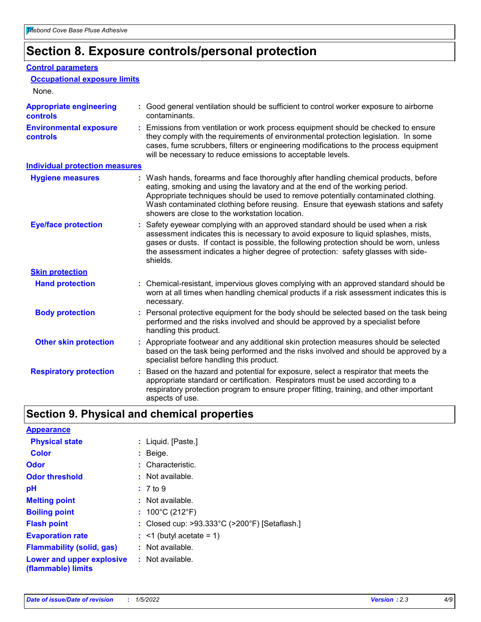# **Section 8. Exposure controls/personal protection**

#### **Control parameters**

| <b>Occupational exposure limits</b>               |                                                                                                                                                                                                                                                                                                                                                                                                   |
|---------------------------------------------------|---------------------------------------------------------------------------------------------------------------------------------------------------------------------------------------------------------------------------------------------------------------------------------------------------------------------------------------------------------------------------------------------------|
| None.                                             |                                                                                                                                                                                                                                                                                                                                                                                                   |
| <b>Appropriate engineering</b><br><b>controls</b> | : Good general ventilation should be sufficient to control worker exposure to airborne<br>contaminants.                                                                                                                                                                                                                                                                                           |
| <b>Environmental exposure</b><br><b>controls</b>  | : Emissions from ventilation or work process equipment should be checked to ensure<br>they comply with the requirements of environmental protection legislation. In some<br>cases, fume scrubbers, filters or engineering modifications to the process equipment<br>will be necessary to reduce emissions to acceptable levels.                                                                   |
| <b>Individual protection measures</b>             |                                                                                                                                                                                                                                                                                                                                                                                                   |
| <b>Hygiene measures</b>                           | : Wash hands, forearms and face thoroughly after handling chemical products, before<br>eating, smoking and using the lavatory and at the end of the working period.<br>Appropriate techniques should be used to remove potentially contaminated clothing.<br>Wash contaminated clothing before reusing. Ensure that eyewash stations and safety<br>showers are close to the workstation location. |
| <b>Eye/face protection</b>                        | : Safety eyewear complying with an approved standard should be used when a risk<br>assessment indicates this is necessary to avoid exposure to liquid splashes, mists,<br>gases or dusts. If contact is possible, the following protection should be worn, unless<br>the assessment indicates a higher degree of protection: safety glasses with side-<br>shields.                                |
| <b>Skin protection</b>                            |                                                                                                                                                                                                                                                                                                                                                                                                   |
| <b>Hand protection</b>                            | : Chemical-resistant, impervious gloves complying with an approved standard should be<br>worn at all times when handling chemical products if a risk assessment indicates this is<br>necessary.                                                                                                                                                                                                   |
| <b>Body protection</b>                            | : Personal protective equipment for the body should be selected based on the task being<br>performed and the risks involved and should be approved by a specialist before<br>handling this product.                                                                                                                                                                                               |
| <b>Other skin protection</b>                      | : Appropriate footwear and any additional skin protection measures should be selected<br>based on the task being performed and the risks involved and should be approved by a<br>specialist before handling this product.                                                                                                                                                                         |
| <b>Respiratory protection</b>                     | Based on the hazard and potential for exposure, select a respirator that meets the<br>appropriate standard or certification. Respirators must be used according to a<br>respiratory protection program to ensure proper fitting, training, and other important<br>aspects of use.                                                                                                                 |

# **Section 9. Physical and chemical properties**

| <b>Appearance</b>                                                       |                                               |
|-------------------------------------------------------------------------|-----------------------------------------------|
| <b>Physical state</b>                                                   | : Liquid. [Paste.]                            |
| <b>Color</b>                                                            | $:$ Beige.                                    |
| Odor                                                                    | : Characteristic.                             |
| <b>Odor threshold</b>                                                   | $:$ Not available.                            |
| рH                                                                      | : 7 to 9                                      |
| <b>Melting point</b>                                                    | : Not available.                              |
| <b>Boiling point</b>                                                    | : $100^{\circ}$ C (212 $^{\circ}$ F)          |
| <b>Flash point</b>                                                      | : Closed cup: >93.333°C (>200°F) [Setaflash.] |
| <b>Evaporation rate</b>                                                 | $:$ <1 (butyl acetate = 1)                    |
| <b>Flammability (solid, gas)</b>                                        | : Not available.                              |
| <b>Lower and upper explosive : Not available.</b><br>(flammable) limits |                                               |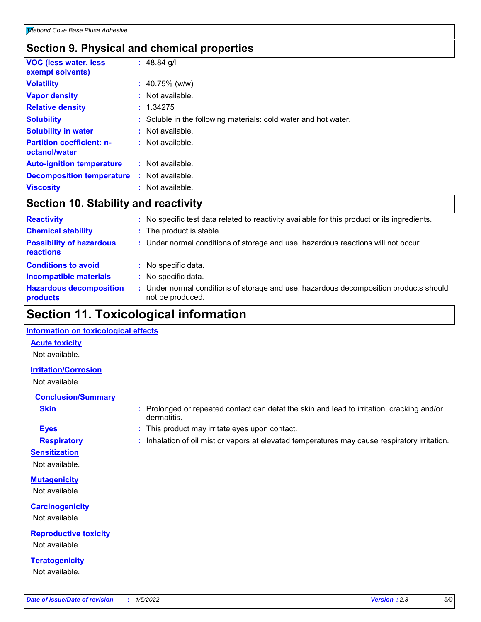### **Section 9. Physical and chemical properties**

| <b>VOC (less water, less)</b><br>exempt solvents) | : $48.84$ g/l                                                   |
|---------------------------------------------------|-----------------------------------------------------------------|
| <b>Volatility</b>                                 | $: 40.75\%$ (w/w)                                               |
| <b>Vapor density</b>                              | $:$ Not available.                                              |
| <b>Relative density</b>                           | : 1.34275                                                       |
| <b>Solubility</b>                                 | : Soluble in the following materials: cold water and hot water. |
| <b>Solubility in water</b>                        | : Not available.                                                |
| <b>Partition coefficient: n-</b><br>octanol/water | $:$ Not available.                                              |
| <b>Auto-ignition temperature</b>                  | $:$ Not available.                                              |
| <b>Decomposition temperature</b>                  | : Not available.                                                |
| <b>Viscosity</b>                                  | : Not available.                                                |

### **Section 10. Stability and reactivity**

| <b>Reactivity</b>                            |    | No specific test data related to reactivity available for this product or its ingredients.              |
|----------------------------------------------|----|---------------------------------------------------------------------------------------------------------|
| <b>Chemical stability</b>                    |    | : The product is stable.                                                                                |
| <b>Possibility of hazardous</b><br>reactions |    | : Under normal conditions of storage and use, hazardous reactions will not occur.                       |
| <b>Conditions to avoid</b>                   |    | : No specific data.                                                                                     |
| <b>Incompatible materials</b>                | ÷. | No specific data.                                                                                       |
| <b>Hazardous decomposition</b><br>products   |    | Under normal conditions of storage and use, hazardous decomposition products should<br>not be produced. |

# **Section 11. Toxicological information**

#### **Information on toxicological effects**

#### **Acute toxicity**

Not available.

#### **Irritation/Corrosion**

Not available.

#### **Conclusion/Summary**

- 
- **Sensitization**

Not available.

**Mutagenicity** Not available.

**Carcinogenicity**

Not available.

**Reproductive toxicity** Not available.

**Teratogenicity** Not available.

**Skin Example 3 :** Prolonged or repeated contact can defat the skin and lead to irritation, cracking and/or dermatitis.

- **Eyes :** This product may irritate eyes upon contact.
- **Respiratory :** Inhalation of oil mist or vapors at elevated temperatures may cause respiratory irritation.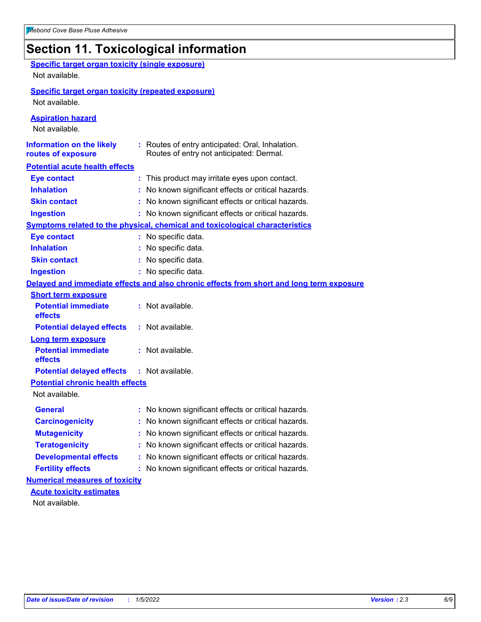# **Section 11. Toxicological information**

| <b>Specific target organ toxicity (single exposure)</b>   |                                                                                          |
|-----------------------------------------------------------|------------------------------------------------------------------------------------------|
| Not available.                                            |                                                                                          |
| <b>Specific target organ toxicity (repeated exposure)</b> |                                                                                          |
| Not available.                                            |                                                                                          |
| <b>Aspiration hazard</b>                                  |                                                                                          |
| Not available.                                            |                                                                                          |
| <b>Information on the likely</b>                          | : Routes of entry anticipated: Oral, Inhalation.                                         |
| routes of exposure                                        | Routes of entry not anticipated: Dermal.                                                 |
| <b>Potential acute health effects</b>                     |                                                                                          |
| <b>Eye contact</b>                                        | : This product may irritate eyes upon contact.                                           |
| <b>Inhalation</b>                                         | : No known significant effects or critical hazards.                                      |
| <b>Skin contact</b>                                       | : No known significant effects or critical hazards.                                      |
| <b>Ingestion</b>                                          | : No known significant effects or critical hazards.                                      |
|                                                           | Symptoms related to the physical, chemical and toxicological characteristics             |
| <b>Eye contact</b>                                        | : No specific data.                                                                      |
| <b>Inhalation</b>                                         | : No specific data.                                                                      |
| <b>Skin contact</b>                                       | : No specific data.                                                                      |
| <b>Ingestion</b>                                          | : No specific data.                                                                      |
|                                                           | Delayed and immediate effects and also chronic effects from short and long term exposure |
| <b>Short term exposure</b>                                |                                                                                          |
| <b>Potential immediate</b><br>effects                     | : Not available.                                                                         |
| <b>Potential delayed effects</b>                          | : Not available.                                                                         |
| <b>Long term exposure</b>                                 |                                                                                          |
| <b>Potential immediate</b><br>effects                     | : Not available.                                                                         |
| <b>Potential delayed effects</b>                          | : Not available.                                                                         |
| <b>Potential chronic health effects</b>                   |                                                                                          |
| Not available.                                            |                                                                                          |
| General                                                   | : No known significant effects or critical hazards.                                      |
| <b>Carcinogenicity</b>                                    | : No known significant effects or critical hazards.                                      |
| <b>Mutagenicity</b>                                       | No known significant effects or critical hazards.                                        |
| <b>Teratogenicity</b>                                     | No known significant effects or critical hazards.                                        |
| <b>Developmental effects</b>                              | : No known significant effects or critical hazards.                                      |
| <b>Fertility effects</b>                                  | : No known significant effects or critical hazards.                                      |
| <b>Numerical measures of toxicity</b>                     |                                                                                          |
| <b>Acute toxicity estimates</b>                           |                                                                                          |
| Not available.                                            |                                                                                          |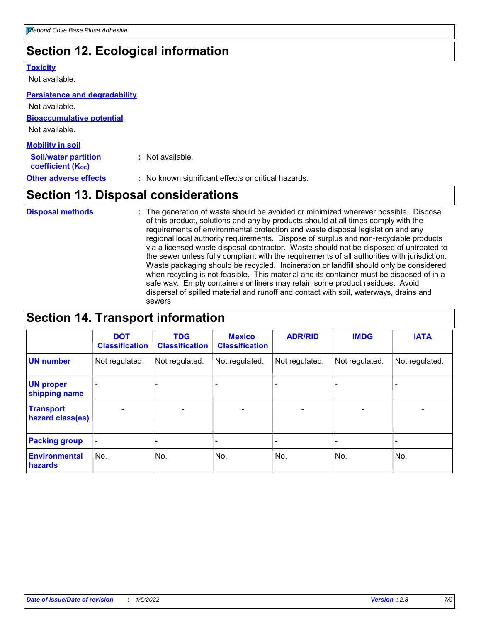# **Section 12. Ecological information**

#### **Toxicity**

Not available.

#### **Persistence and degradability**

**Bioaccumulative potential** Not available. Not available.

| <b>Mobility in soil</b>                                 |                                                     |
|---------------------------------------------------------|-----------------------------------------------------|
| <b>Soil/water partition</b><br><b>coefficient (Koc)</b> | : Not available.                                    |
| <b>Other adverse effects</b>                            | : No known significant effects or critical hazards. |

# **Section 13. Disposal considerations**

The generation of waste should be avoided or minimized wherever possible. Disposal of this product, solutions and any by-products should at all times comply with the requirements of environmental protection and waste disposal legislation and any regional local authority requirements. Dispose of surplus and non-recyclable products via a licensed waste disposal contractor. Waste should not be disposed of untreated to the sewer unless fully compliant with the requirements of all authorities with jurisdiction. Waste packaging should be recycled. Incineration or landfill should only be considered when recycling is not feasible. This material and its container must be disposed of in a safe way. Empty containers or liners may retain some product residues. Avoid dispersal of spilled material and runoff and contact with soil, waterways, drains and sewers. **Disposal methods :**

# **Section 14. Transport information**

|                                      | <b>DOT</b><br><b>Classification</b> | <b>TDG</b><br><b>Classification</b> | <b>Mexico</b><br><b>Classification</b> | <b>ADR/RID</b>               | <b>IMDG</b>              | <b>IATA</b>              |
|--------------------------------------|-------------------------------------|-------------------------------------|----------------------------------------|------------------------------|--------------------------|--------------------------|
| <b>UN number</b>                     | Not regulated.                      | Not regulated.                      | Not regulated.                         | Not regulated.               | Not regulated.           | Not regulated.           |
| <b>UN proper</b><br>shipping name    |                                     |                                     |                                        |                              |                          |                          |
| <b>Transport</b><br>hazard class(es) | $\overline{\phantom{m}}$            | $\overline{\phantom{0}}$            | $\qquad \qquad$                        | $\qquad \qquad \blacksquare$ | $\overline{\phantom{0}}$ | $\overline{\phantom{0}}$ |
| <b>Packing group</b>                 | $\overline{\phantom{a}}$            | -                                   |                                        | -                            |                          | -                        |
| <b>Environmental</b><br>hazards      | No.                                 | No.                                 | No.                                    | No.                          | No.                      | No.                      |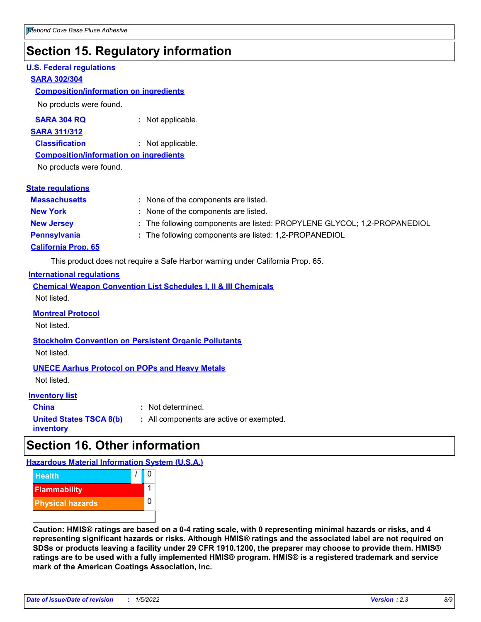# **Section 15. Regulatory information**

#### **U.S. Federal regulations**

#### **SARA 302/304**

#### **Composition/information on ingredients**

No products were found.

**SARA 304 RQ :** Not applicable.

#### **SARA 311/312**

**Classification :** Not applicable.

#### **Composition/information on ingredients**

No products were found.

#### **State regulations**

| <b>Massachusetts</b>       | : None of the components are listed.                                     |
|----------------------------|--------------------------------------------------------------------------|
| <b>New York</b>            | : None of the components are listed.                                     |
| <b>New Jersey</b>          | : The following components are listed: PROPYLENE GLYCOL; 1,2-PROPANEDIOL |
| <b>Pennsylvania</b>        | : The following components are listed: 1,2-PROPANEDIOL                   |
| <b>California Prop. 65</b> |                                                                          |

This product does not require a Safe Harbor warning under California Prop. 65.

#### **International regulations**

|             |  |  | <b>Chemical Weapon Convention List Schedules I, II &amp; III Chemicals</b> |  |
|-------------|--|--|----------------------------------------------------------------------------|--|
| Not listed. |  |  |                                                                            |  |

#### **Montreal Protocol**

Not listed.

**Stockholm Convention on Persistent Organic Pollutants** Not listed.

#### **UNECE Aarhus Protocol on POPs and Heavy Metals**

Not listed.

#### **Inventory list**

**China :** Not determined. **United States TSCA 8(b) inventory**

#### **:** All components are active or exempted.

**Section 16. Other information**

#### **Hazardous Material Information System (U.S.A.)**



**Caution: HMIS® ratings are based on a 0-4 rating scale, with 0 representing minimal hazards or risks, and 4 representing significant hazards or risks. Although HMIS® ratings and the associated label are not required on SDSs or products leaving a facility under 29 CFR 1910.1200, the preparer may choose to provide them. HMIS® ratings are to be used with a fully implemented HMIS® program. HMIS® is a registered trademark and service mark of the American Coatings Association, Inc.**